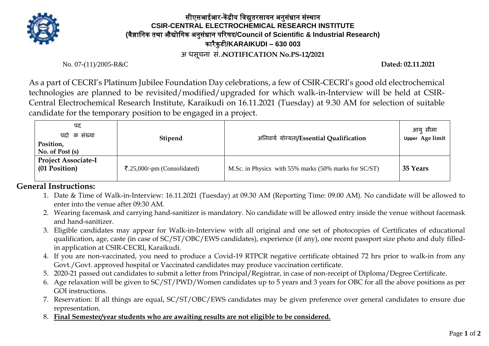

## सीएसआईआर**-**कें द्रीय विद्युतरसायन अनुसंधान संस्थान **CSIR-CENTRAL ELECTROCHEMICAL RESEARCH INSTITUTE (**िैज्ञावनक तथा औद्योविक अनुसंधान पररषद**/Council of Scientific & Industrial Research)** कारैकु डी**/KARAIKUDI – 630 003**

**अ िसूचना सं./NOTIFICATION No.PS-12/2021**

No. 07-(11)/2005-R&C **Dated: 02.11.2021**

As a part of CECRI's Platinum Jubilee Foundation Day celebrations, a few of CSIR-CECRI's good old electrochemical technologies are planned to be revisited/modified/upgraded for which walk-in-Interview will be held at CSIR-Central Electrochemical Research Institute, Karaikudi on 16.11.2021 (Tuesday) at 9.30 AM for selection of suitable candidate for the temporary position to be engaged in a project.

| पद<br>पदो क संख्या<br>Position,<br>No. of Post $(s)$ | <b>Stipend</b>                                     | अनिवार्य योग्यता/Essential Qualification              | आय सीमा<br>Upper Age limit |
|------------------------------------------------------|----------------------------------------------------|-------------------------------------------------------|----------------------------|
| <b>Project Associate-I</b><br>(01 Position)          | $\overline{\mathbf{z}}$ .25,000/-pm (Consolidated) | M.Sc. in Physics with 55% marks (50% marks for SC/ST) | 35 Years                   |

## **General Instructions:**

- 1. Date & Time of Walk-in-Interview: 16.11.2021 (Tuesday) at 09.30 AM (Reporting Time: 09.00 AM). No candidate will be allowed to enter into the venue after 09:30 AM.
- 2. Wearing facemask and carrying hand-sanitizer is mandatory. No candidate will be allowed entry inside the venue without facemask and hand-sanitizer.
- 3. Eligible candidates may appear for Walk-in-Interview with all original and one set of photocopies of Certificates of educational qualification, age, caste (in case of SC/ST/OBC/EWS candidates), experience (if any), one recent passport size photo and duly filledin application at CSIR-CECRI, Karaikudi.
- 4. If you are non-vaccinated, you need to produce a Covid-19 RTPCR negative certificate obtained 72 hrs prior to walk-in from any Govt./Govt. approved hospital or Vaccinated candidates may produce vaccination certificate.
- 5. 2020-21 passed out candidates to submit a letter from Principal/Registrar, in case of non-receipt of Diploma/Degree Certificate.
- 6. Age relaxation will be given to SC/ST/PWD/Women candidates up to 5 years and 3 years for OBC for all the above positions as per GOI instructions.
- 7. Reservation: If all things are equal, SC/ST/OBC/EWS candidates may be given preference over general candidates to ensure due representation.
- 8. **Final Semester/year students who are awaiting results are not eligible to be considered.**